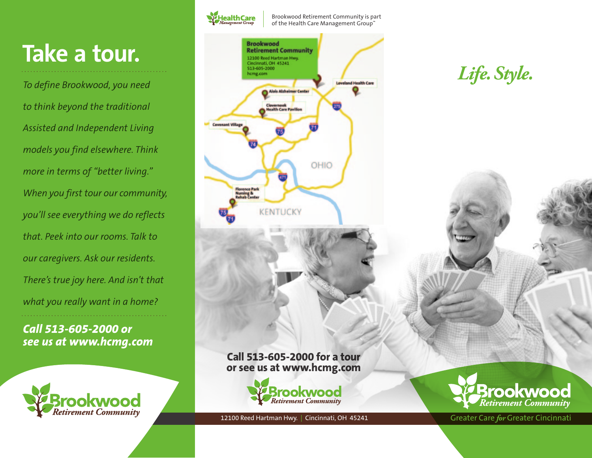## **Take a tour.**

*To define Brookwood, you need to think beyond the traditional Assisted and Independent Living models you find elsewhere. Think more in terms of "better living." When you first tour our community, you'll see everything we do reflects that. Peek into our rooms. Talk to our caregivers. Ask our residents. There's true joy here. And isn't that what you really want in a home?*

*Call 513-605-2000 or see us at www.hcmg.com*





Brookwood Retirement Community is part of the Health Care Management Group™



12100 Reed Hartman Hwy. | Cincinnati, OH 45241

**Brookwood Retirement Community** 



Greater Care *for* Greater Cincinnati

*Life.Style.*